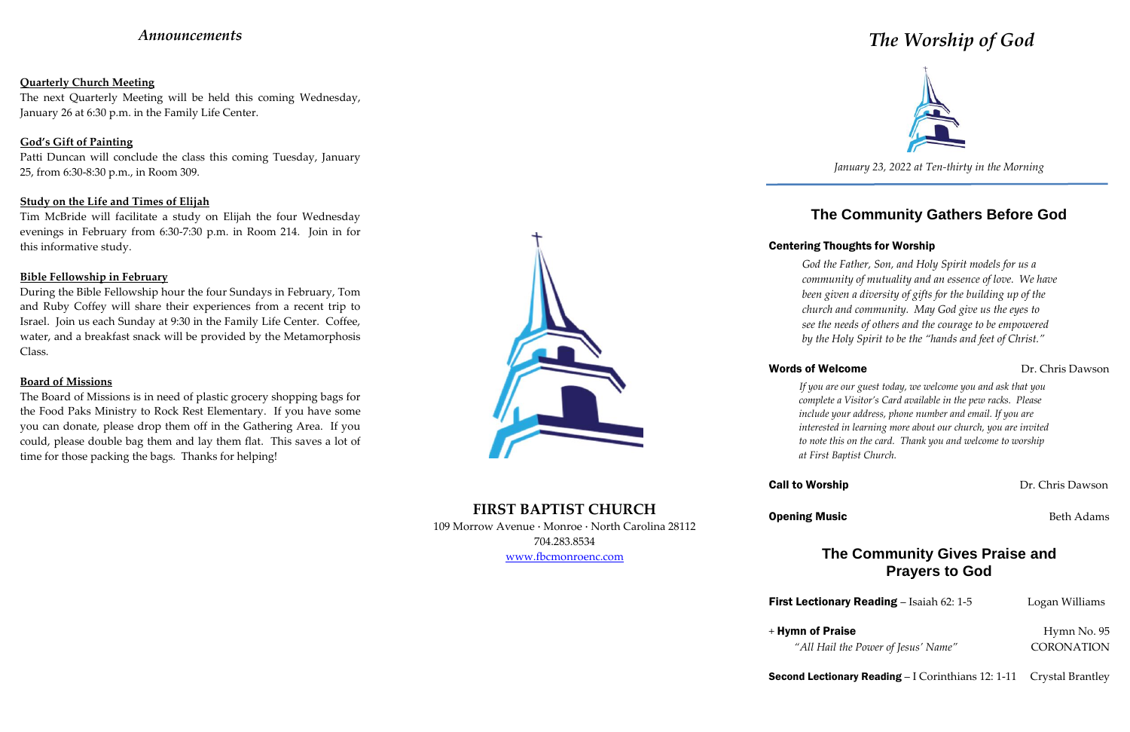# *Announcements*

### **Quarterly Church Meeting**

The next Quarterly Meeting will be held this coming Wednesday, January 26 at 6:30 p.m. in the Family Life Center.

## **God's Gift of Painting**

Patti Duncan will conclude the class this coming Tuesday, January 25, from 6:30-8:30 p.m., in Room 309.

## **Study on the Life and Times of Elijah**

Tim McBride will facilitate a study on Elijah the four Wednesday evenings in February from 6:30-7:30 p.m. in Room 214. Join in for this informative study.

## **Bible Fellowship in February**

During the Bible Fellowship hour the four Sundays in February, Tom and Ruby Coffey will share their experiences from a recent trip to Israel. Join us each Sunday at 9:30 in the Family Life Center. Coffee, water, and a breakfast snack will be provided by the Metamorphosis Class.

### **Board of Missions**

The Board of Missions is in need of plastic grocery shopping bags for the Food Paks Ministry to Rock Rest Elementary. If you have some you can donate, please drop them off in the Gathering Area. If you could, please double bag them and lay them flat. This saves a lot of time for those packing the bags. Thanks for helping!



**FIRST BAPTIST CHURCH** 109 Morrow Avenue · Monroe · North Carolina 28112 704.283.8534 www.fbcmonroenc.com

# *The Worship of God*



*January 23, 2022 at Ten-thirty in the Morning*

# **The Community Gathers Before God**

# Centering Thoughts for Worship

## Words of Welcome Dr. Chris Dawson

**First Lectionary Reading** – Isaiah 62: 1-5 Logan Williams

Second Lectionary Reading – I Corinthians 12: 1-11 Crystal Brantley

*God the Father, Son, and Holy Spirit models for us a community of mutuality and an essence of love. We have been given a diversity of gifts for the building up of the church and community. May God give us the eyes to see the needs of others and the courage to be empowered by the Holy Spirit to be the "hands and feet of Christ."*

*If you are our guest today, we welcome you and ask that you complete a Visitor's Card available in the pew racks. Please include your address, phone number and email. If you are interested in learning more about our church, you are invited to note this on the card. Thank you and welcome to worship at First Baptist Church.*

## **Call to Worship Dr. Chris Dawson**

**Opening Music Beth Adams Beth Adams** 

# **The Community Gives Praise and Prayers to God**

*"All Hail the Power of Jesus' Name"* CORONATION

+ Hymn of Praise Hymn No. 95